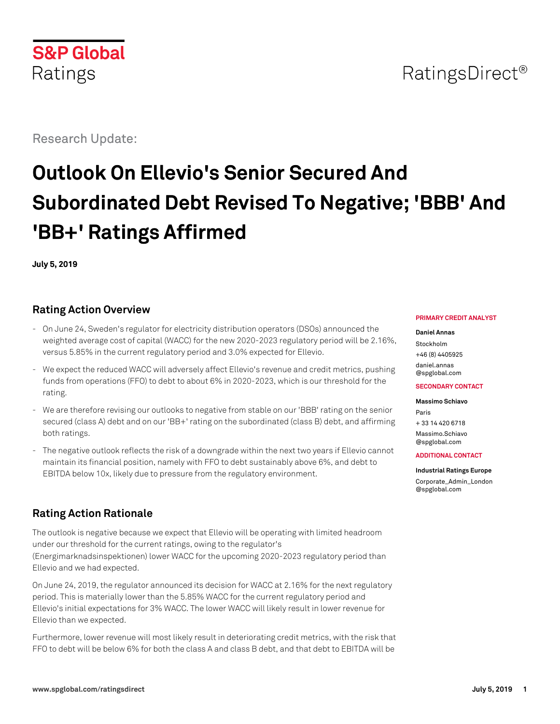# **S&P Global** Ratings

Research Update:

# **Outlook On Ellevio's Senior Secured And Subordinated Debt Revised To Negative; 'BBB' And 'BB+' Ratings Affirmed**

**July 5, 2019**

# **Rating Action Overview**

- On June 24, Sweden's regulator for electricity distribution operators (DSOs) announced the weighted average cost of capital (WACC) for the new 2020-2023 regulatory period will be 2.16%, versus 5.85% in the current regulatory period and 3.0% expected for Ellevio.
- We expect the reduced WACC will adversely affect Ellevio's revenue and credit metrics, pushing funds from operations (FFO) to debt to about 6% in 2020-2023, which is our threshold for the rating.
- We are therefore revising our outlooks to negative from stable on our 'BBB' rating on the senior secured (class A) debt and on our 'BB+' rating on the subordinated (class B) debt, and affirming both ratings.
- The negative outlook reflects the risk of a downgrade within the next two years if Ellevio cannot maintain its financial position, namely with FFO to debt sustainably above 6%, and debt to EBITDA below 10x, likely due to pressure from the regulatory environment.

# **Rating Action Rationale**

The outlook is negative because we expect that Ellevio will be operating with limited headroom under our threshold for the current ratings, owing to the regulator's (Energimarknadsinspektionen) lower WACC for the upcoming 2020-2023 regulatory period than Ellevio and we had expected.

On June 24, 2019, the regulator announced its decision for WACC at 2.16% for the next regulatory period. This is materially lower than the 5.85% WACC for the current regulatory period and Ellevio's initial expectations for 3% WACC. The lower WACC will likely result in lower revenue for Ellevio than we expected.

Furthermore, lower revenue will most likely result in deteriorating credit metrics, with the risk that FFO to debt will be below 6% for both the class A and class B debt, and that debt to EBITDA will be

#### **PRIMARY CREDIT ANALYST**

#### **Daniel Annas**

Stockholm +46 (8) 4405925 [daniel.annas](mailto:daniel.annas@spglobal.com) [@spglobal.com](mailto:daniel.annas@spglobal.com)

#### **SECONDARY CONTACT**

**Massimo Schiavo** Paris

+ 33 14 420 6718 [Massimo.Schiavo](mailto:Massimo.Schiavo@spglobal.com) [@spglobal.com](mailto:Massimo.Schiavo@spglobal.com)

#### **ADDITIONAL CONTACT**

#### **Industrial Ratings Europe**

[Corporate\\_Admin\\_London](mailto:Corporate_Admin_London@spglobal.com) [@spglobal.com](mailto:Corporate_Admin_London@spglobal.com)

# RatingsDirect<sup>®</sup>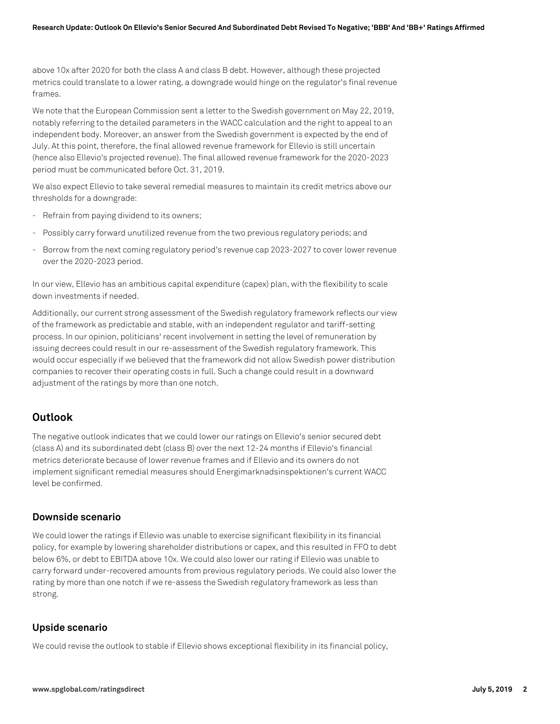above 10x after 2020 for both the class A and class B debt. However, although these projected metrics could translate to a lower rating, a downgrade would hinge on the regulator's final revenue frames.

We note that the European Commission sent a letter to the Swedish government on May 22, 2019, notably referring to the detailed parameters in the WACC calculation and the right to appeal to an independent body. Moreover, an answer from the Swedish government is expected by the end of July. At this point, therefore, the final allowed revenue framework for Ellevio is still uncertain (hence also Ellevio's projected revenue). The final allowed revenue framework for the 2020-2023 period must be communicated before Oct. 31, 2019.

We also expect Ellevio to take several remedial measures to maintain its credit metrics above our thresholds for a downgrade:

- Refrain from paying dividend to its owners;
- Possibly carry forward unutilized revenue from the two previous regulatory periods; and
- Borrow from the next coming regulatory period's revenue cap 2023-2027 to cover lower revenue over the 2020-2023 period.

In our view, Ellevio has an ambitious capital expenditure (capex) plan, with the flexibility to scale down investments if needed.

Additionally, our current strong assessment of the Swedish regulatory framework reflects our view of the framework as predictable and stable, with an independent regulator and tariff-setting process. In our opinion, politicians' recent involvement in setting the level of remuneration by issuing decrees could result in our re-assessment of the Swedish regulatory framework. This would occur especially if we believed that the framework did not allow Swedish power distribution companies to recover their operating costs in full. Such a change could result in a downward adjustment of the ratings by more than one notch.

# **Outlook**

The negative outlook indicates that we could lower our ratings on Ellevio's senior secured debt (class A) and its subordinated debt (class B) over the next 12-24 months if Ellevio's financial metrics deteriorate because of lower revenue frames and if Ellevio and its owners do not implement significant remedial measures should Energimarknadsinspektionen's current WACC level be confirmed.

#### **Downside scenario**

We could lower the ratings if Ellevio was unable to exercise significant flexibility in its financial policy, for example by lowering shareholder distributions or capex, and this resulted in FFO to debt below 6%, or debt to EBITDA above 10x. We could also lower our rating if Ellevio was unable to carry forward under-recovered amounts from previous regulatory periods. We could also lower the rating by more than one notch if we re-assess the Swedish regulatory framework as less than strong.

## **Upside scenario**

We could revise the outlook to stable if Ellevio shows exceptional flexibility in its financial policy,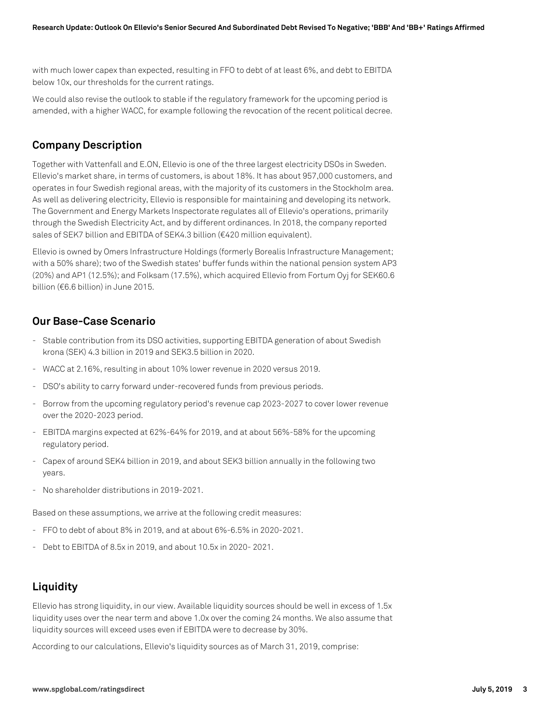with much lower capex than expected, resulting in FFO to debt of at least 6%, and debt to EBITDA below 10x, our thresholds for the current ratings.

We could also revise the outlook to stable if the regulatory framework for the upcoming period is amended, with a higher WACC, for example following the revocation of the recent political decree.

# **Company Description**

Together with Vattenfall and E.ON, Ellevio is one of the three largest electricity DSOs in Sweden. Ellevio's market share, in terms of customers, is about 18%. It has about 957,000 customers, and operates in four Swedish regional areas, with the majority of its customers in the Stockholm area. As well as delivering electricity, Ellevio is responsible for maintaining and developing its network. The Government and Energy Markets Inspectorate regulates all of Ellevio's operations, primarily through the Swedish Electricity Act, and by different ordinances. In 2018, the company reported sales of SEK7 billion and EBITDA of SEK4.3 billion (€420 million equivalent).

Ellevio is owned by Omers Infrastructure Holdings (formerly Borealis Infrastructure Management; with a 50% share); two of the Swedish states' buffer funds within the national pension system AP3 (20%) and AP1 (12.5%); and Folksam (17.5%), which acquired Ellevio from Fortum Oyj for SEK60.6 billion (€6.6 billion) in June 2015.

# **Our Base-Case Scenario**

- Stable contribution from its DSO activities, supporting EBITDA generation of about Swedish krona (SEK) 4.3 billion in 2019 and SEK3.5 billion in 2020.
- WACC at 2.16%, resulting in about 10% lower revenue in 2020 versus 2019.
- DSO's ability to carry forward under-recovered funds from previous periods.
- Borrow from the upcoming regulatory period's revenue cap 2023-2027 to cover lower revenue over the 2020-2023 period.
- EBITDA margins expected at 62%-64% for 2019, and at about 56%-58% for the upcoming regulatory period.
- Capex of around SEK4 billion in 2019, and about SEK3 billion annually in the following two years.
- No shareholder distributions in 2019-2021.

Based on these assumptions, we arrive at the following credit measures:

- FFO to debt of about 8% in 2019, and at about 6%-6.5% in 2020-2021.
- Debt to EBITDA of 8.5x in 2019, and about 10.5x in 2020- 2021.

# **Liquidity**

Ellevio has strong liquidity, in our view. Available liquidity sources should be well in excess of 1.5x liquidity uses over the near term and above 1.0x over the coming 24 months. We also assume that liquidity sources will exceed uses even if EBITDA were to decrease by 30%.

According to our calculations, Ellevio's liquidity sources as of March 31, 2019, comprise: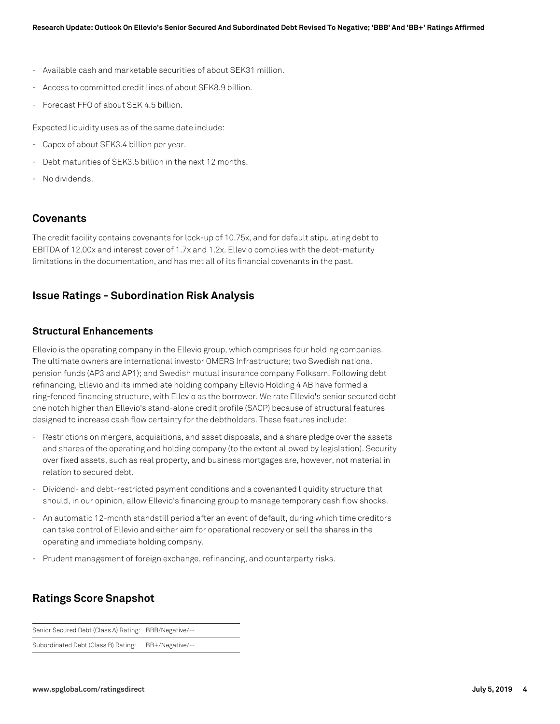- Available cash and marketable securities of about SEK31 million.
- Access to committed credit lines of about SEK8.9 billion.
- Forecast FFO of about SEK 4.5 billion.

Expected liquidity uses as of the same date include:

- Capex of about SEK3.4 billion per year.
- Debt maturities of SEK3.5 billion in the next 12 months.
- No dividends.

## **Covenants**

The credit facility contains covenants for lock-up of 10.75x, and for default stipulating debt to EBITDA of 12.00x and interest cover of 1.7x and 1.2x. Ellevio complies with the debt-maturity limitations in the documentation, and has met all of its financial covenants in the past.

# **Issue Ratings - Subordination Risk Analysis**

### **Structural Enhancements**

Ellevio is the operating company in the Ellevio group, which comprises four holding companies. The ultimate owners are international investor OMERS Infrastructure; two Swedish national pension funds (AP3 and AP1); and Swedish mutual insurance company Folksam. Following debt refinancing, Ellevio and its immediate holding company Ellevio Holding 4 AB have formed a ring-fenced financing structure, with Ellevio as the borrower. We rate Ellevio's senior secured debt one notch higher than Ellevio's stand-alone credit profile (SACP) because of structural features designed to increase cash flow certainty for the debtholders. These features include:

- Restrictions on mergers, acquisitions, and asset disposals, and a share pledge over the assets and shares of the operating and holding company (to the extent allowed by legislation). Security over fixed assets, such as real property, and business mortgages are, however, not material in relation to secured debt.
- Dividend- and debt-restricted payment conditions and a covenanted liquidity structure that should, in our opinion, allow Ellevio's financing group to manage temporary cash flow shocks.
- An automatic 12-month standstill period after an event of default, during which time creditors can take control of Ellevio and either aim for operational recovery or sell the shares in the operating and immediate holding company.
- Prudent management of foreign exchange, refinancing, and counterparty risks.

# **Ratings Score Snapshot**

Senior Secured Debt (Class A) Rating: BBB/Negative/--

Subordinated Debt (Class B) Rating: BB+/Negative/--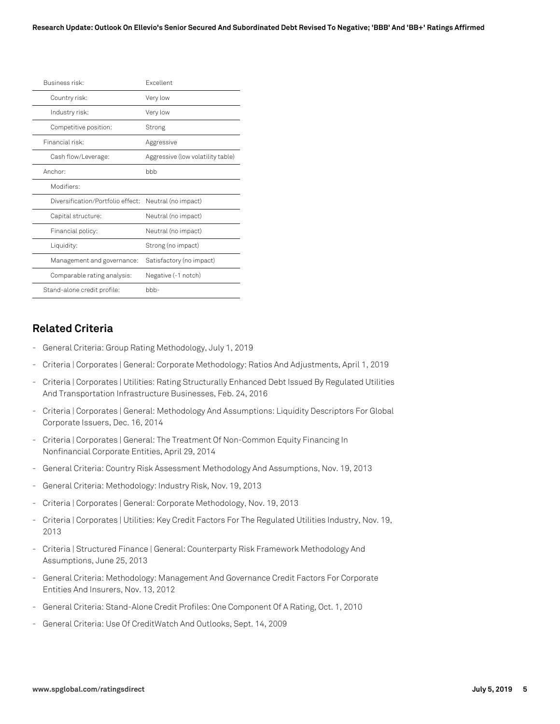| Business risk:                    | <b>Fxcellent</b>                  |  |
|-----------------------------------|-----------------------------------|--|
| Country risk:                     | Very low                          |  |
| Industry risk:                    | Very low                          |  |
| Competitive position:             | Strong                            |  |
| Financial risk:                   | Aggressive                        |  |
| Cash flow/Leverage:               | Aggressive (low volatility table) |  |
| Anchor:                           | bbb                               |  |
| Modifiers:                        |                                   |  |
| Diversification/Portfolio effect: | Neutral (no impact)               |  |
| Capital structure:                | Neutral (no impact)               |  |
| Financial policy:                 | Neutral (no impact)               |  |
| Liquidity:                        | Strong (no impact)                |  |
| Management and governance:        | Satisfactory (no impact)          |  |
| Comparable rating analysis:       | Negative (-1 notch)               |  |
| Stand-alone credit profile:       | $b$ <sub>b</sub> $-$              |  |
|                                   |                                   |  |

# **Related Criteria**

- General Criteria: Group Rating Methodology, July 1, 2019
- Criteria | Corporates | General: Corporate Methodology: Ratios And Adjustments, April 1, 2019
- Criteria | Corporates | Utilities: Rating Structurally Enhanced Debt Issued By Regulated Utilities And Transportation Infrastructure Businesses, Feb. 24, 2016
- Criteria | Corporates | General: Methodology And Assumptions: Liquidity Descriptors For Global Corporate Issuers, Dec. 16, 2014
- Criteria | Corporates | General: The Treatment Of Non-Common Equity Financing In Nonfinancial Corporate Entities, April 29, 2014
- General Criteria: Country Risk Assessment Methodology And Assumptions, Nov. 19, 2013
- General Criteria: Methodology: Industry Risk, Nov. 19, 2013
- Criteria | Corporates | General: Corporate Methodology, Nov. 19, 2013
- Criteria | Corporates | Utilities: Key Credit Factors For The Regulated Utilities Industry, Nov. 19, 2013
- Criteria | Structured Finance | General: Counterparty Risk Framework Methodology And Assumptions, June 25, 2013
- General Criteria: Methodology: Management And Governance Credit Factors For Corporate Entities And Insurers, Nov. 13, 2012
- General Criteria: Stand-Alone Credit Profiles: One Component Of A Rating, Oct. 1, 2010
- General Criteria: Use Of CreditWatch And Outlooks, Sept. 14, 2009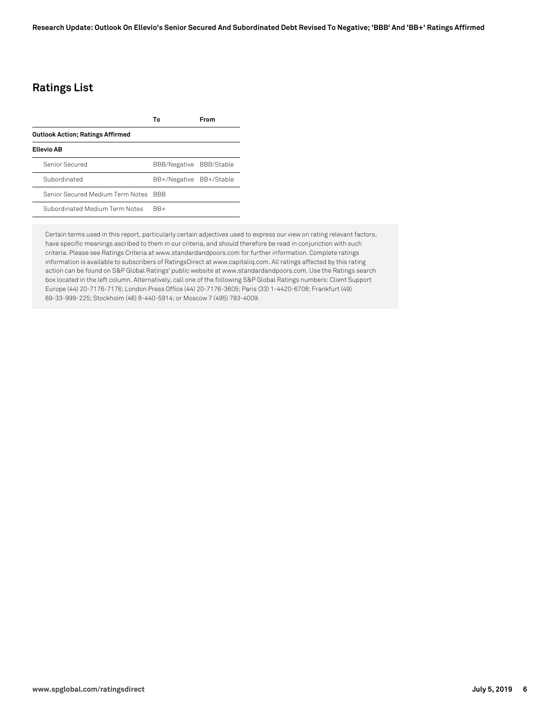# **Ratings List**

|                                         | Т٥                      | From |
|-----------------------------------------|-------------------------|------|
| <b>Outlook Action; Ratings Affirmed</b> |                         |      |
| Ellevio AB                              |                         |      |
| Senior Secured                          | BBB/Negative BBB/Stable |      |
| Subordinated                            | BB+/Negative BB+/Stable |      |
| Senior Secured Medium Term Notes        | <b>BBB</b>              |      |
| Subordinated Medium Term Notes          | $BR+$                   |      |

Certain terms used in this report, particularly certain adjectives used to express our view on rating relevant factors, have specific meanings ascribed to them in our criteria, and should therefore be read in conjunction with such criteria. Please see Ratings Criteria at www.standardandpoors.com for further information. Complete ratings information is available to subscribers of RatingsDirect at www.capitaliq.com. All ratings affected by this rating action can be found on S&P Global Ratings' public website at www.standardandpoors.com. Use the Ratings search box located in the left column. Alternatively, call one of the following S&P Global Ratings numbers: Client Support Europe (44) 20-7176-7176; London Press Office (44) 20-7176-3605; Paris (33) 1-4420-6708; Frankfurt (49) 69-33-999-225; Stockholm (46) 8-440-5914; or Moscow 7 (495) 783-4009.